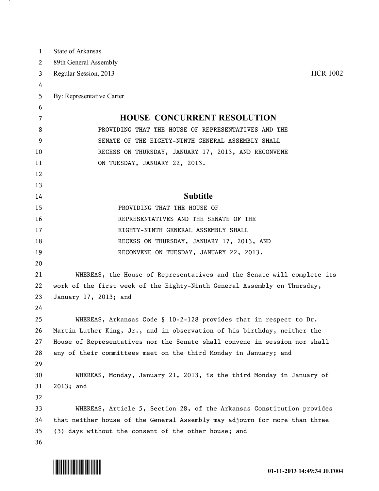| $\mathbf{1}$ | State of Arkansas                                                          |
|--------------|----------------------------------------------------------------------------|
| 2            | 89th General Assembly                                                      |
| 3            | <b>HCR 1002</b><br>Regular Session, 2013                                   |
| 4            |                                                                            |
| 5            | By: Representative Carter                                                  |
| 6            |                                                                            |
| 7            | <b>HOUSE CONCURRENT RESOLUTION</b>                                         |
| 8            | PROVIDING THAT THE HOUSE OF REPRESENTATIVES AND THE                        |
| 9            | SENATE OF THE EIGHTY-NINTH GENERAL ASSEMBLY SHALL                          |
| 10           | RECESS ON THURSDAY, JANUARY 17, 2013, AND RECONVENE                        |
| 11           | ON TUESDAY, JANUARY 22, 2013.                                              |
| 12           |                                                                            |
| 13           |                                                                            |
| 14           | <b>Subtitle</b>                                                            |
| 15           | PROVIDING THAT THE HOUSE OF                                                |
| 16           | REPRESENTATIVES AND THE SENATE OF THE                                      |
| 17           | EIGHTY-NINTH GENERAL ASSEMBLY SHALL                                        |
| 18           | RECESS ON THURSDAY, JANUARY 17, 2013, AND                                  |
| 19           | RECONVENE ON TUESDAY, JANUARY 22, 2013.                                    |
| 20           |                                                                            |
| 21           | WHEREAS, the House of Representatives and the Senate will complete its     |
| 22           | work of the first week of the Eighty-Ninth General Assembly on Thursday,   |
| 23           | January 17, 2013; and                                                      |
| 24           |                                                                            |
| 25           | WHEREAS, Arkansas Code § 10-2-128 provides that in respect to $Dr.$        |
| 26           | Martin Luther King, Jr., and in observation of his birthday, neither the   |
| 27           | House of Representatives nor the Senate shall convene in session nor shall |
| 28           | any of their committees meet on the third Monday in January; and           |
| 29           |                                                                            |
| 30           | WHEREAS, Monday, January 21, 2013, is the third Monday in January of       |
| 31           | 2013; and                                                                  |
| 32           |                                                                            |
| 33           | WHEREAS, Article 5, Section 28, of the Arkansas Constitution provides      |
| 34           | that neither house of the General Assembly may adjourn for more than three |
| 35           | (3) days without the consent of the other house; and                       |
| 36           |                                                                            |



<u>на п</u>